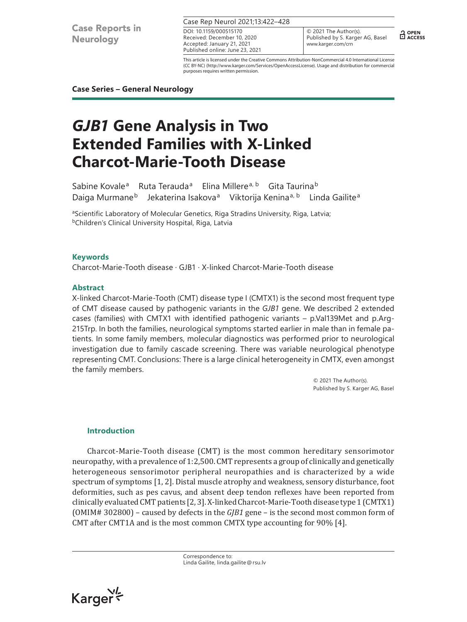**Case Reports in Neurology** 

Case Rep Neurol 2021;13:422–428

Received: December 10, 2020 Accepted: January 21, 2021 Published online: June 23, 2021 DOI: 10.1159/000515170

© 2021 The Author(s). Published by S. Karger AG, Basel www.karger.com/crn

 $\frac{1}{11}$  OPEN

This article is licensed under the Creative Commons Attribution-NonCommercial 4.0 International License (CC BY-NC) (http://www.karger.com/Services/OpenAccessLicense). Usage and distribution for commercial purposes requires written permission.

# **Case Series – General Neurology**

# *GJB1* **Gene Analysis in Two Extended Families with X-Linked Charcot-Marie-Tooth Disease**

Sabine Kovale<sup>a</sup> Ruta Terauda<sup>a</sup> Elina Millere<sup>a, b</sup> Gita Taurina<sup>b</sup> Daiga Murmane<sup>b</sup> Jekaterina Isakova<sup>a</sup> Viktorija Kenina<sup>a, b</sup> Linda Gailite<sup>a</sup>

<sup>a</sup>Scientific Laboratory of Molecular Genetics, Riga Stradins University, Riga, Latvia; **bChildren's Clinical University Hospital, Riga, Latvia** 

# **Keywords**

Charcot-Marie-Tooth disease · GJB1 · X-linked Charcot-Marie-Tooth disease

# **Abstract**

X-linked Charcot-Marie-Tooth (CMT) disease type I (CMTX1) is the second most frequent type of CMT disease caused by pathogenic variants in the *GJB1* gene. We described 2 extended cases (families) with CMTX1 with identified pathogenic variants – p.Val139Met and p.Arg-215Trp. In both the families, neurological symptoms started earlier in male than in female patients. In some family members, molecular diagnostics was performed prior to neurological investigation due to family cascade screening. There was variable neurological phenotype representing CMT. Conclusions: There is a large clinical heterogeneity in CMTX, even amongst the family members.

> © 2021 The Author(s). Published by S. Karger AG, Basel

#### **Introduction**

Charcot-Marie-Tooth disease (CMT) is the most common hereditary sensorimotor neuropathy, with a prevalence of 1:2,500. CMT represents a group of clinically and genetically heterogeneous sensorimotor peripheral neuropathies and is characterized by a wide spectrum of symptoms [\[1,](#page-6-0) [2\]](#page-6-1). Distal muscle atrophy and weakness, sensory disturbance, foot deformities, such as pes cavus, and absent deep tendon reflexes have been reported from clinically evaluated CMT patients [\[2](#page-6-1), [3](#page-6-2)]. X-linked Charcot-Marie-Tooth disease type 1 (CMTX1) (OMIM# 302800) – caused by defects in the *GJB1* gene – is the second most common form of CMT after CMT1A and is the most common CMTX type accounting for 90% [[4\]](#page-6-3).

> Correspondence to: Linda Gailite, linda.gailite@rsu.lv

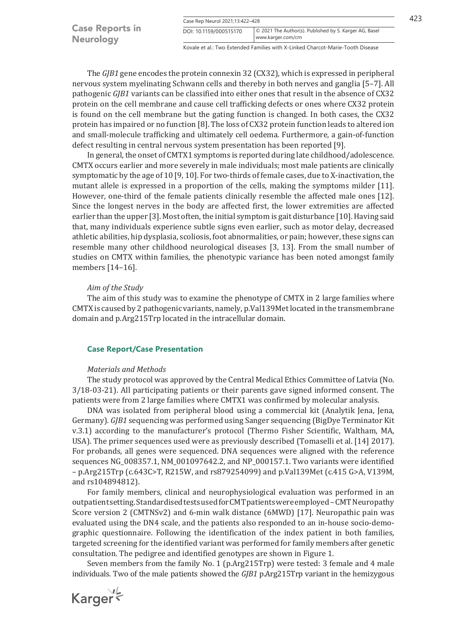|                        | Case Rep Neurol 2021;13:422-428 |                                                        |  |
|------------------------|---------------------------------|--------------------------------------------------------|--|
| <b>Case Reports in</b> | DOI: 10.1159/000515170          | © 2021 The Author(s). Published by S. Karger AG, Basel |  |
| <b>Neurology</b>       |                                 | www.karger.com/crn                                     |  |

Kovale et al.: Two Extended Families with X-Linked Charcot-Marie-Tooth Disease

The *GJB1* gene encodes the protein connexin 32 (CX32), which is expressed in peripheral nervous system myelinating Schwann cells and thereby in both nerves and ganglia [[5–](#page-6-4)[7\]](#page-6-5). All pathogenic *GJB1* variants can be classified into either ones that result in the absence of CX32 protein on the cell membrane and cause cell trafficking defects or ones where CX32 protein is found on the cell membrane but the gating function is changed. In both cases, the CX32 protein has impaired or no function [[8\]](#page-6-6). The loss of CX32 protein function leads to altered ion and small-molecule trafficking and ultimately cell oedema. Furthermore, a gain-of-function defect resulting in central nervous system presentation has been reported [\[9](#page-6-7)].

In general, the onset of CMTX1 symptoms is reported during late childhood/adolescence. CMTX occurs earlier and more severely in male individuals; most male patients are clinically symptomatic by the age of 10 [\[9](#page-6-7), [10\]](#page-6-8). For two-thirds of female cases, due to X-inactivation, the mutant allele is expressed in a proportion of the cells, making the symptoms milder [[11](#page-6-9)]. However, one-third of the female patients clinically resemble the affected male ones [[12](#page-6-10)]. Since the longest nerves in the body are affected first, the lower extremities are affected earlier than the upper [\[3\]](#page-6-2). Most often, the initial symptom is gait disturbance [\[10](#page-6-8)]. Having said that, many individuals experience subtle signs even earlier, such as motor delay, decreased athletic abilities, hip dysplasia, scoliosis, foot abnormalities, or pain; however, these signs can resemble many other childhood neurological diseases [[3,](#page-6-2) [13](#page-6-11)]. From the small number of studies on CMTX within families, the phenotypic variance has been noted amongst family members [\[14](#page-6-12)[–16\]](#page-6-13).

#### *Aim of the Study*

The aim of this study was to examine the phenotype of CMTX in 2 large families where CMTX is caused by 2 pathogenic variants, namely, p.Val139Met located in the transmembrane domain and p.Arg215Trp located in the intracellular domain.

# **Case Report/Case Presentation**

#### *Materials and Methods*

The study protocol was approved by the Central Medical Ethics Committee of Latvia (No. 3/18-03-21). All participating patients or their parents gave signed informed consent. The patients were from 2 large families where CMTX1 was confirmed by molecular analysis.

DNA was isolated from peripheral blood using a commercial kit (Analytik Jena, Jena, Germany). *GJB1* sequencing was performed using Sanger sequencing (BigDye Terminator Kit v.3.1) according to the manufacturer's protocol (Thermo Fisher Scientific, Waltham, MA, USA). The primer sequences used were as previously described (Tomaselli et al. [\[14\]](#page-6-12) 2017). For probands, all genes were sequenced. DNA sequences were aligned with the reference sequences NG\_008357.1, NM\_001097642.2, and NP\_000157.1. Two variants were identified – p.Arg215Trp (c.643C>T, R215W, and rs879254099) and p.Val139Met (c.415 G>A, V139M, and rs104894812).

For family members, clinical and neurophysiological evaluation was performed in an outpatient setting. Standardised tests used for CMT patients were employed – CMT Neuropathy Score version 2 (CMTNSv2) and 6-min walk distance (6MWD) [[17](#page-6-14)]. Neuropathic pain was evaluated using the DN4 scale, and the patients also responded to an in-house socio-demographic questionnaire. Following the identification of the index patient in both families, targeted screening for the identified variant was performed for family members after genetic consultation. The pedigree and identified genotypes are shown in Figure 1.

Seven members from the family No. 1 (p.Arg215Trp) were tested: 3 female and 4 male individuals. Two of the male patients showed the *GJB1* p.Arg215Trp variant in the hemizygous

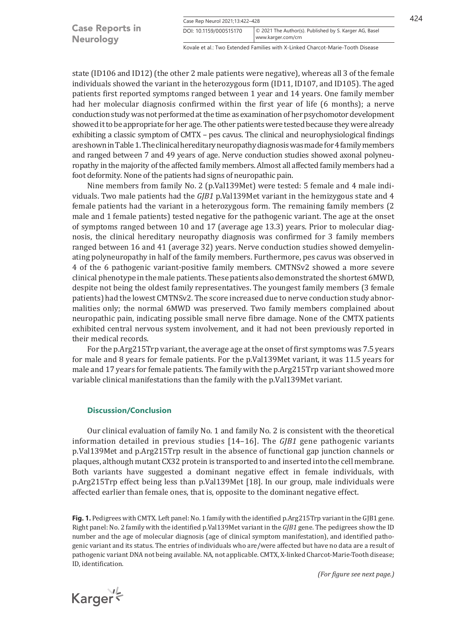|                        | Case Rep Neurol 2021;13:422-428 |                                                        |  |
|------------------------|---------------------------------|--------------------------------------------------------|--|
| <b>Case Reports in</b> | DOI: 10.1159/000515170          | © 2021 The Author(s). Published by S. Karger AG, Basel |  |
| <b>Neurology</b>       |                                 | www.karger.com/crn                                     |  |

Kovale et al.: Two Extended Families with X-Linked Charcot-Marie-Tooth Disease

state (ID106 and ID12) (the other 2 male patients were negative), whereas all 3 of the female individuals showed the variant in the heterozygous form (ID11, ID107, and ID105). The aged patients first reported symptoms ranged between 1 year and 14 years. One family member had her molecular diagnosis confirmed within the first year of life (6 months); a nerve conduction study was not performed at the time as examination of her psychomotor development showed it to be appropriate for her age. The other patients were tested because they were already exhibiting a classic symptom of CMTX – pes cavus. The clinical and neurophysiological findings are shown in Table 1. The clinical hereditary neuropathy diagnosis was made for 4 family members and ranged between 7 and 49 years of age. Nerve conduction studies showed axonal polyneuropathy in the majority of the affected family members. Almost all affected family members had a foot deformity. None of the patients had signs of neuropathic pain.

Nine members from family No. 2 (p.Val139Met) were tested: 5 female and 4 male individuals. Two male patients had the *GJB1* p.Val139Met variant in the hemizygous state and 4 female patients had the variant in a heterozygous form. The remaining family members (2 male and 1 female patients) tested negative for the pathogenic variant. The age at the onset of symptoms ranged between 10 and 17 (average age 13.3) years. Prior to molecular diagnosis, the clinical hereditary neuropathy diagnosis was confirmed for 3 family members ranged between 16 and 41 (average 32) years. Nerve conduction studies showed demyelinating polyneuropathy in half of the family members. Furthermore, pes cavus was observed in 4 of the 6 pathogenic variant-positive family members. CMTNSv2 showed a more severe clinical phenotype in the male patients. These patients also demonstrated the shortest 6MWD, despite not being the oldest family representatives. The youngest family members (3 female patients) had the lowest CMTNSv2. The score increased due to nerve conduction study abnormalities only; the normal 6MWD was preserved. Two family members complained about neuropathic pain, indicating possible small nerve fibre damage. None of the CMTX patients exhibited central nervous system involvement, and it had not been previously reported in their medical records.

For the p.Arg215Trp variant, the average age at the onset of first symptoms was 7.5 years for male and 8 years for female patients. For the p.Val139Met variant, it was 11.5 years for male and 17 years for female patients. The family with the p.Arg215Trp variant showed more variable clinical manifestations than the family with the p.Val139Met variant.

#### **Discussion/Conclusion**

Our clinical evaluation of family No. 1 and family No. 2 is consistent with the theoretical information detailed in previous studies [[14–](#page-6-12)[16](#page-6-13)]. The *GJB1* gene pathogenic variants p.Val139Met and p.Arg215Trp result in the absence of functional gap junction channels or plaques, although mutant CX32 protein is transported to and inserted into the cell membrane. Both variants have suggested a dominant negative effect in female individuals, with p.Arg215Trp effect being less than p.Val139Met [[18](#page-6-15)]. In our group, male individuals were affected earlier than female ones, that is, opposite to the dominant negative effect.

**Fig. 1.** Pedigrees with CMTX. Left panel: No. 1 family with the identified p.Arg215Trp variant in the GJB1 gene. Right panel: No. 2 family with the identified p.Val139Met variant in the *GJB1* gene. The pedigrees show the ID number and the age of molecular diagnosis (age of clinical symptom manifestation), and identified pathogenic variant and its status. The entries of individuals who are/were affected but have no data are a result of pathogenic variant DNA not being available. NA, not applicable. CMTX, X-linked Charcot-Marie-Tooth disease; ID, identification.

Karger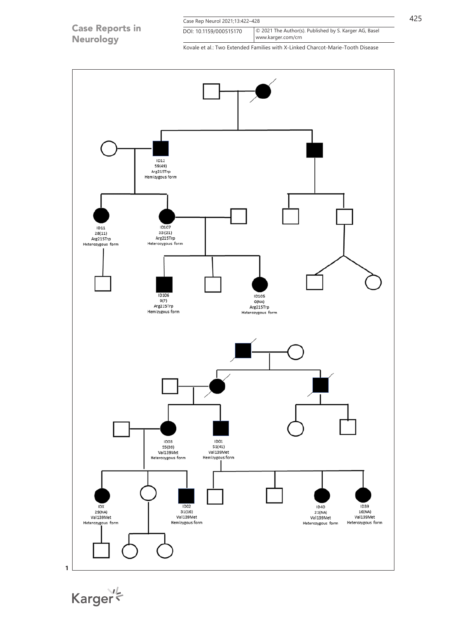|                                            | Case Rep Neurol 2021;13:422-428 |                                                                                |  |
|--------------------------------------------|---------------------------------|--------------------------------------------------------------------------------|--|
| <b>Case Reports in</b><br><b>Neurology</b> | DOI: 10.1159/000515170          | © 2021 The Author(s). Published by S. Karger AG, Basel<br>www.karger.com/crn   |  |
|                                            |                                 | Kovale et al.: Two Extended Families with X-Linked Charcot-Marie-Tooth Disease |  |



Karger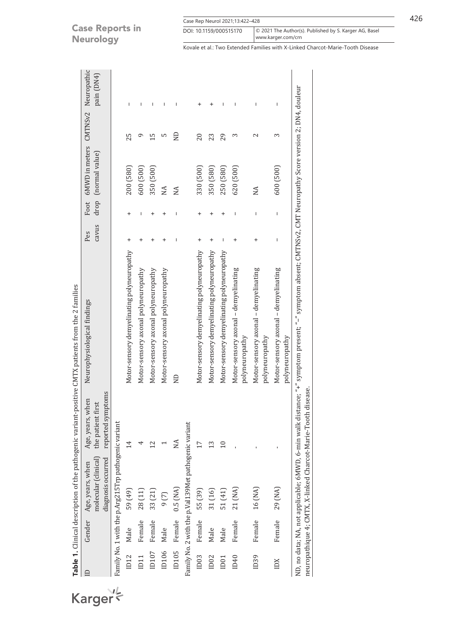# **Case Reports in** Neurology

Karger

| Case Rep Neurol 2021;13:422-428 |                                                        |  |
|---------------------------------|--------------------------------------------------------|--|
| DOI: 10.1159/000515170          | © 2021 The Author(s). Published by S. Karger AG, Basel |  |
|                                 | www.karger.com/crn                                     |  |

Kovale et al.: Two Extended Families with X-Linked Charcot-Marie-Tooth Disease

|                  |        |                                                                |                                                                   | Table 1. Clinical description of the pathogenic variant-positive CMTX patients from the 2 families                                                         |              |                                                                                                                                                                                                                                                                                                                                                      |                                                                |               |            |
|------------------|--------|----------------------------------------------------------------|-------------------------------------------------------------------|------------------------------------------------------------------------------------------------------------------------------------------------------------|--------------|------------------------------------------------------------------------------------------------------------------------------------------------------------------------------------------------------------------------------------------------------------------------------------------------------------------------------------------------------|----------------------------------------------------------------|---------------|------------|
|                  | Gender | molecular (clinical)<br>diagnosis occurred<br>Age, years, when | mptoms<br>when<br>the patient first<br>reported sy<br>Age, years, | Neurophysiological findings                                                                                                                                | cavus<br>Pes |                                                                                                                                                                                                                                                                                                                                                      | Foot 6MWD in meters CMTNSv2 Neuropathic<br>drop (normal value) |               | pain (DN4) |
|                  |        | Family No. 1 with the p.Arg215Trp pathogenic variant           |                                                                   |                                                                                                                                                            |              |                                                                                                                                                                                                                                                                                                                                                      |                                                                |               |            |
| ID12             | Male   | 59 (49)                                                        | $\overline{14}$                                                   | Motor-sensory demyelinating polyneuropathy                                                                                                                 | +            | +                                                                                                                                                                                                                                                                                                                                                    | 200 (580)                                                      | 25            | ı          |
| 111              | Female | 28 (11)                                                        |                                                                   | Motor-sensory axonal polyneuropathy                                                                                                                        |              | I                                                                                                                                                                                                                                                                                                                                                    | 600 (500)                                                      |               | I          |
| ID107            | Female | 33 (21)                                                        | 12                                                                | Motor-sensory axonal polyneuropathy                                                                                                                        |              |                                                                                                                                                                                                                                                                                                                                                      | 350 (500)                                                      | $\frac{5}{1}$ | T          |
| ID106            | Male   | 9(7)                                                           |                                                                   | Motor-sensory axonal polyneuropathy                                                                                                                        |              |                                                                                                                                                                                                                                                                                                                                                      | NA                                                             | Ln            | I          |
| ID105            | Female | $0.5$ (NA)                                                     | NА                                                                | $\Xi$                                                                                                                                                      |              |                                                                                                                                                                                                                                                                                                                                                      | NА                                                             | $\Xi$         | ı          |
|                  |        | Family No. 2 with the p.Val139Met pathogenic variant           |                                                                   |                                                                                                                                                            |              |                                                                                                                                                                                                                                                                                                                                                      |                                                                |               |            |
| ID03             | Female | 55 (39)                                                        |                                                                   | Motor-sensory demyelinating polyneuropathy                                                                                                                 | $\ddot{}$    |                                                                                                                                                                                                                                                                                                                                                      | 330 (500)                                                      | 20            | $\ddot{}$  |
| 1D02             | Male   | 31 (16)                                                        | 13                                                                | Motor-sensory demyelinating polyneuropathy                                                                                                                 |              |                                                                                                                                                                                                                                                                                                                                                      | 350 (580)                                                      | 23            | +          |
| ID <sub>01</sub> | Male   | 51 (41)                                                        | 10                                                                | Motor-sensory demyelinating polyneuropathy                                                                                                                 | ı            | +                                                                                                                                                                                                                                                                                                                                                    | 250 (580)                                                      | 29            | ı          |
| ID40             | Female | 21 (NA)                                                        |                                                                   | Motor-sensory axonal - demyelinating<br>polyneuropathy                                                                                                     |              | I                                                                                                                                                                                                                                                                                                                                                    | 620 (500)                                                      | S             | ı          |
| ID39             | Female | 16 (NA)                                                        |                                                                   | Motor-sensory axonal - demyelinating<br>polyneuropathy                                                                                                     | +            | I                                                                                                                                                                                                                                                                                                                                                    | NA                                                             | 2             | I          |
| IDX              | Female | 29 (NA)                                                        |                                                                   | Motor-sensory axonal - demyelinating<br>polyneuropathy                                                                                                     | I            | $\begin{array}{c} \rule{0.2cm}{0.15mm} \rule{0.2cm}{0.15mm} \rule{0.2cm}{0.15mm} \rule{0.2cm}{0.15mm} \rule{0.2cm}{0.15mm} \rule{0.2cm}{0.15mm} \rule{0.2cm}{0.15mm} \rule{0.2cm}{0.15mm} \rule{0.2cm}{0.15mm} \rule{0.2cm}{0.15mm} \rule{0.2cm}{0.15mm} \rule{0.2cm}{0.15mm} \rule{0.2cm}{0.15mm} \rule{0.2cm}{0.15mm} \rule{0.2cm}{0.15mm} \rule{$ | 600 (500)                                                      | S             | I          |
|                  |        |                                                                | neuropathique 4; CMTX, X-linked Charcot-Marie-Tooth disease.      | ND, no data; NA, not applicable; 6MWD, 6-min walk distance; "+" symptom present; "–" symptom absent; CMTNSv2, CMT Neuropathy Score version 2; DN4, douleur |              |                                                                                                                                                                                                                                                                                                                                                      |                                                                |               |            |
|                  |        |                                                                |                                                                   |                                                                                                                                                            |              |                                                                                                                                                                                                                                                                                                                                                      |                                                                |               |            |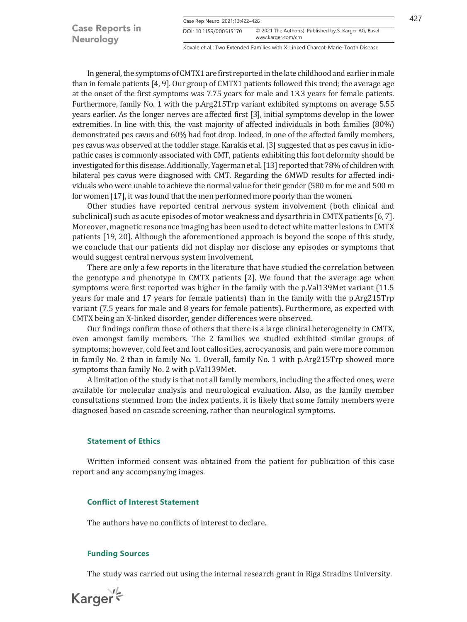|                        | Case Rep Neurol 2021;13:422-428 |                                                        |  |
|------------------------|---------------------------------|--------------------------------------------------------|--|
| <b>Case Reports in</b> | DOI: 10.1159/000515170          | © 2021 The Author(s). Published by S. Karger AG, Basel |  |
| <b>Neurology</b>       |                                 | www.karger.com/crn                                     |  |

Kovale et al.: Two Extended Families with X-Linked Charcot-Marie-Tooth Disease

In general, the symptoms of CMTX1 are first reported in the late childhood and earlier in male than in female patients [[4](#page-6-3), [9](#page-6-7)]. Our group of CMTX1 patients followed this trend; the average age at the onset of the first symptoms was 7.75 years for male and 13.3 years for female patients. Furthermore, family No. 1 with the p.Arg215Trp variant exhibited symptoms on average 5.55 years earlier. As the longer nerves are affected first [\[3](#page-6-2)], initial symptoms develop in the lower extremities. In line with this, the vast majority of affected individuals in both families (80%) demonstrated pes cavus and 60% had foot drop. Indeed, in one of the affected family members, pes cavus was observed at the toddler stage. Karakis et al. [\[3\]](#page-6-2) suggested that as pes cavus in idiopathic cases is commonly associated with CMT, patients exhibiting this foot deformity should be investigated for this disease. Additionally, Yagerman et al. [\[13\]](#page-6-11) reported that 78% of children with bilateral pes cavus were diagnosed with CMT. Regarding the 6MWD results for affected individuals who were unable to achieve the normal value for their gender (580 m for me and 500 m for women [[17\]](#page-6-14), it was found that the men performed more poorly than the women.

Other studies have reported central nervous system involvement (both clinical and subclinical) such as acute episodes of motor weakness and dysarthria in CMTX patients [[6,](#page-6-16) [7](#page-6-5)]. Moreover, magnetic resonance imaging has been used to detect white matter lesions in CMTX patients [\[19,](#page-6-17) [20](#page-6-18)]. Although the aforementioned approach is beyond the scope of this study, we conclude that our patients did not display nor disclose any episodes or symptoms that would suggest central nervous system involvement.

There are only a few reports in the literature that have studied the correlation between the genotype and phenotype in CMTX patients [\[2](#page-6-1)]. We found that the average age when symptoms were first reported was higher in the family with the p.Val139Met variant (11.5 years for male and 17 years for female patients) than in the family with the p.Arg215Trp variant (7.5 years for male and 8 years for female patients). Furthermore, as expected with CMTX being an X-linked disorder, gender differences were observed.

Our findings confirm those of others that there is a large clinical heterogeneity in CMTX, even amongst family members. The 2 families we studied exhibited similar groups of symptoms; however, cold feet and foot callosities, acrocyanosis, and pain were more common in family No. 2 than in family No. 1. Overall, family No. 1 with p.Arg215Trp showed more symptoms than family No. 2 with p.Val139Met.

A limitation of the study is that not all family members, including the affected ones, were available for molecular analysis and neurological evaluation. Also, as the family member consultations stemmed from the index patients, it is likely that some family members were diagnosed based on cascade screening, rather than neurological symptoms.

#### **Statement of Ethics**

Written informed consent was obtained from the patient for publication of this case report and any accompanying images.

# **Conflict of Interest Statement**

The authors have no conflicts of interest to declare.

#### **Funding Sources**

The study was carried out using the internal research grant in Riga Stradins University.